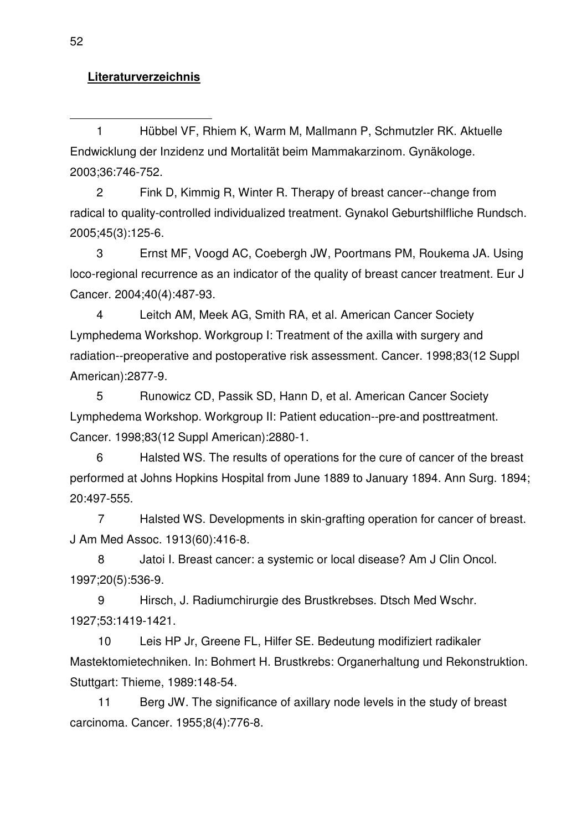## **Literaturverzeichnis**

1 Hübbel VF, Rhiem K, Warm M, Mallmann P, Schmutzler RK. Aktuelle Endwicklung der Inzidenz und Mortalität beim Mammakarzinom. Gynäkologe. 2003;36:746-752.

2 Fink D, Kimmig R, Winter R. Therapy of breast cancer--change from radical to quality-controlled individualized treatment. Gynakol Geburtshilfliche Rundsch. 2005;45(3):125-6.

3 Ernst MF, Voogd AC, Coebergh JW, Poortmans PM, Roukema JA. Using loco-regional recurrence as an indicator of the quality of breast cancer treatment. Eur J Cancer. 2004;40(4):487-93.

4 Leitch AM, Meek AG, Smith RA, et al. American Cancer Society Lymphedema Workshop. Workgroup I: Treatment of the axilla with surgery and radiation--preoperative and postoperative risk assessment. Cancer. 1998;83(12 Suppl American):2877-9.

5 Runowicz CD, Passik SD, Hann D, et al. American Cancer Society Lymphedema Workshop. Workgroup II: Patient education--pre-and posttreatment. Cancer. 1998;83(12 Suppl American):2880-1.

6 Halsted WS. The results of operations for the cure of cancer of the breast performed at Johns Hopkins Hospital from June 1889 to January 1894. Ann Surg. 1894; 20:497-555.

7 Halsted WS. Developments in skin-grafting operation for cancer of breast. J Am Med Assoc. 1913(60):416-8.

8 Jatoi I. Breast cancer: a systemic or local disease? Am J Clin Oncol. 1997;20(5):536-9.

9 Hirsch, J. Radiumchirurgie des Brustkrebses. Dtsch Med Wschr. 1927;53:1419-1421.

10 Leis HP Jr, Greene FL, Hilfer SE. Bedeutung modifiziert radikaler Mastektomietechniken. In: Bohmert H. Brustkrebs: Organerhaltung und Rekonstruktion. Stuttgart: Thieme, 1989:148-54.

11 Berg JW. The significance of axillary node levels in the study of breast carcinoma. Cancer. 1955;8(4):776-8.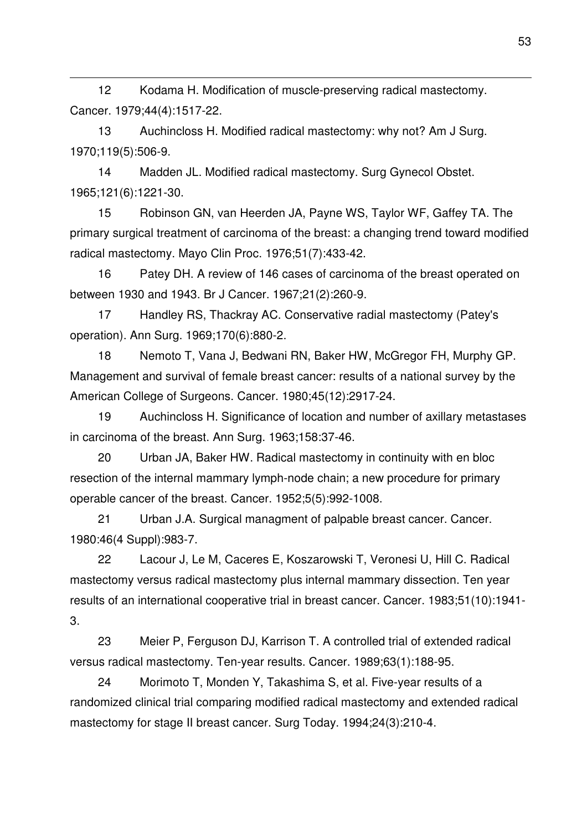12 Kodama H. Modification of muscle-preserving radical mastectomy. Cancer. 1979;44(4):1517-22.

l

13 Auchincloss H. Modified radical mastectomy: why not? Am J Surg. 1970;119(5):506-9.

14 Madden JL. Modified radical mastectomy. Surg Gynecol Obstet. 1965;121(6):1221-30.

15 Robinson GN, van Heerden JA, Payne WS, Taylor WF, Gaffey TA. The primary surgical treatment of carcinoma of the breast: a changing trend toward modified radical mastectomy. Mayo Clin Proc. 1976;51(7):433-42.

16 Patey DH. A review of 146 cases of carcinoma of the breast operated on between 1930 and 1943. Br J Cancer. 1967;21(2):260-9.

17 Handley RS, Thackray AC. Conservative radial mastectomy (Patey's operation). Ann Surg. 1969;170(6):880-2.

18 Nemoto T, Vana J, Bedwani RN, Baker HW, McGregor FH, Murphy GP. Management and survival of female breast cancer: results of a national survey by the American College of Surgeons. Cancer. 1980;45(12):2917-24.

19 Auchincloss H. Significance of location and number of axillary metastases in carcinoma of the breast. Ann Surg. 1963;158:37-46.

20 Urban JA, Baker HW. Radical mastectomy in continuity with en bloc resection of the internal mammary lymph-node chain; a new procedure for primary operable cancer of the breast. Cancer. 1952;5(5):992-1008.

21 Urban J.A. Surgical managment of palpable breast cancer. Cancer. 1980:46(4 Suppl):983-7.

22 Lacour J, Le M, Caceres E, Koszarowski T, Veronesi U, Hill C. Radical mastectomy versus radical mastectomy plus internal mammary dissection. Ten year results of an international cooperative trial in breast cancer. Cancer. 1983;51(10):1941- 3.

23 Meier P, Ferguson DJ, Karrison T. A controlled trial of extended radical versus radical mastectomy. Ten-year results. Cancer. 1989;63(1):188-95.

24 Morimoto T, Monden Y, Takashima S, et al. Five-year results of a randomized clinical trial comparing modified radical mastectomy and extended radical mastectomy for stage II breast cancer. Surg Today. 1994;24(3):210-4.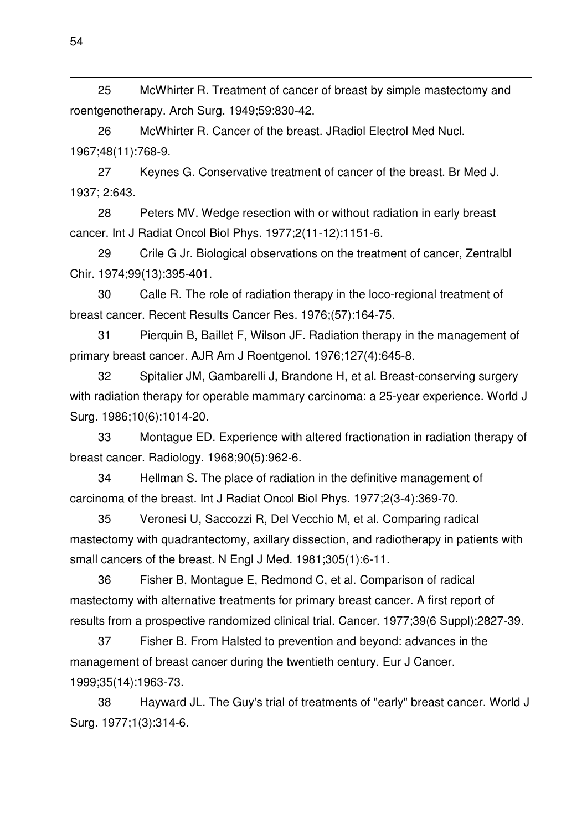25 McWhirter R. Treatment of cancer of breast by simple mastectomy and roentgenotherapy. Arch Surg. 1949;59:830-42.

26 McWhirter R. Cancer of the breast. JRadiol Electrol Med Nucl. 1967;48(11):768-9.

27 Keynes G. Conservative treatment of cancer of the breast. Br Med J. 1937; 2:643.

28 Peters MV. Wedge resection with or without radiation in early breast cancer. Int J Radiat Oncol Biol Phys. 1977;2(11-12):1151-6.

29 Crile G Jr. Biological observations on the treatment of cancer, Zentralbl Chir. 1974;99(13):395-401.

30 Calle R. The role of radiation therapy in the loco-regional treatment of breast cancer. Recent Results Cancer Res. 1976;(57):164-75.

31 Pierquin B, Baillet F, Wilson JF. Radiation therapy in the management of primary breast cancer. AJR Am J Roentgenol. 1976;127(4):645-8.

32 Spitalier JM, Gambarelli J, Brandone H, et al. Breast-conserving surgery with radiation therapy for operable mammary carcinoma: a 25-year experience. World J Surg. 1986;10(6):1014-20.

33 Montague ED. Experience with altered fractionation in radiation therapy of breast cancer. Radiology. 1968;90(5):962-6.

34 Hellman S. The place of radiation in the definitive management of carcinoma of the breast. Int J Radiat Oncol Biol Phys. 1977;2(3-4):369-70.

35 Veronesi U, Saccozzi R, Del Vecchio M, et al. Comparing radical mastectomy with quadrantectomy, axillary dissection, and radiotherapy in patients with small cancers of the breast. N Engl J Med. 1981;305(1):6-11.

36 Fisher B, Montague E, Redmond C, et al. Comparison of radical mastectomy with alternative treatments for primary breast cancer. A first report of results from a prospective randomized clinical trial. Cancer. 1977;39(6 Suppl):2827-39.

37 Fisher B. From Halsted to prevention and beyond: advances in the management of breast cancer during the twentieth century. Eur J Cancer. 1999;35(14):1963-73.

38 Hayward JL. The Guy's trial of treatments of "early" breast cancer. World J Surg. 1977;1(3):314-6.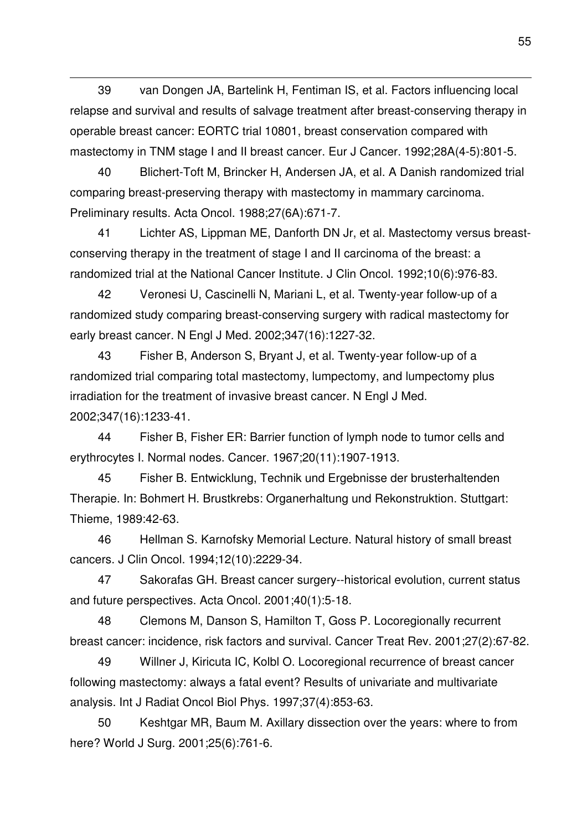39 van Dongen JA, Bartelink H, Fentiman IS, et al. Factors influencing local relapse and survival and results of salvage treatment after breast-conserving therapy in operable breast cancer: EORTC trial 10801, breast conservation compared with mastectomy in TNM stage I and II breast cancer. Eur J Cancer. 1992;28A(4-5):801-5.

l

40 Blichert-Toft M, Brincker H, Andersen JA, et al. A Danish randomized trial comparing breast-preserving therapy with mastectomy in mammary carcinoma. Preliminary results. Acta Oncol. 1988;27(6A):671-7.

41 Lichter AS, Lippman ME, Danforth DN Jr, et al. Mastectomy versus breastconserving therapy in the treatment of stage I and II carcinoma of the breast: a randomized trial at the National Cancer Institute. J Clin Oncol. 1992;10(6):976-83.

42 Veronesi U, Cascinelli N, Mariani L, et al. Twenty-year follow-up of a randomized study comparing breast-conserving surgery with radical mastectomy for early breast cancer. N Engl J Med. 2002;347(16):1227-32.

43 Fisher B, Anderson S, Bryant J, et al. Twenty-year follow-up of a randomized trial comparing total mastectomy, lumpectomy, and lumpectomy plus irradiation for the treatment of invasive breast cancer. N Engl J Med. 2002;347(16):1233-41.

44 Fisher B, Fisher ER: Barrier function of lymph node to tumor cells and erythrocytes I. Normal nodes. Cancer. 1967;20(11):1907-1913.

45 Fisher B. Entwicklung, Technik und Ergebnisse der brusterhaltenden Therapie. In: Bohmert H. Brustkrebs: Organerhaltung und Rekonstruktion. Stuttgart: Thieme, 1989:42-63.

46 Hellman S. Karnofsky Memorial Lecture. Natural history of small breast cancers. J Clin Oncol. 1994;12(10):2229-34.

47 Sakorafas GH. Breast cancer surgery--historical evolution, current status and future perspectives. Acta Oncol. 2001;40(1):5-18.

48 Clemons M, Danson S, Hamilton T, Goss P. Locoregionally recurrent breast cancer: incidence, risk factors and survival. Cancer Treat Rev. 2001;27(2):67-82.

49 Willner J, Kiricuta IC, Kolbl O. Locoregional recurrence of breast cancer following mastectomy: always a fatal event? Results of univariate and multivariate analysis. Int J Radiat Oncol Biol Phys. 1997;37(4):853-63.

50 Keshtgar MR, Baum M. Axillary dissection over the years: where to from here? World J Surg. 2001;25(6):761-6.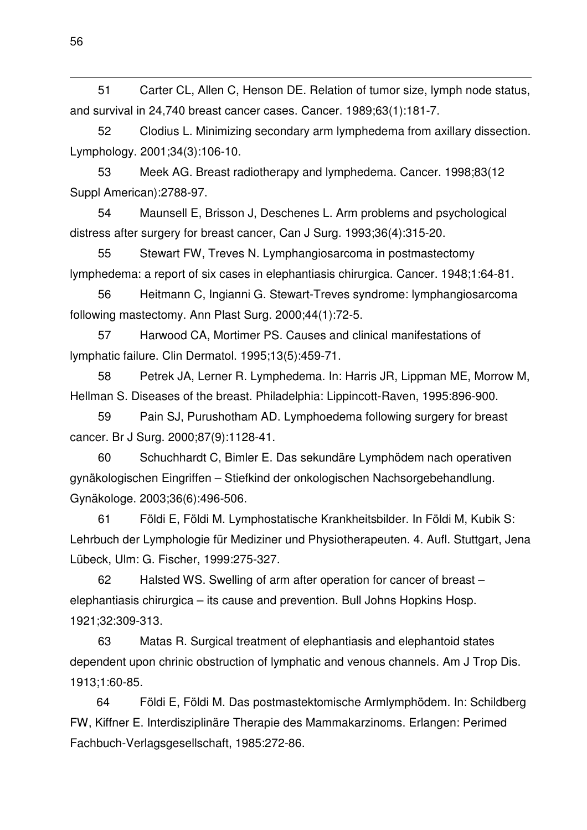51 Carter CL, Allen C, Henson DE. Relation of tumor size, lymph node status, and survival in 24,740 breast cancer cases. Cancer. 1989;63(1):181-7.

52 Clodius L. Minimizing secondary arm lymphedema from axillary dissection. Lymphology. 2001;34(3):106-10.

53 Meek AG. Breast radiotherapy and lymphedema. Cancer. 1998;83(12 Suppl American):2788-97.

54 Maunsell E, Brisson J, Deschenes L. Arm problems and psychological distress after surgery for breast cancer, Can J Surg. 1993;36(4):315-20.

55 Stewart FW, Treves N. Lymphangiosarcoma in postmastectomy lymphedema: a report of six cases in elephantiasis chirurgica. Cancer. 1948;1:64-81.

56 Heitmann C, Ingianni G. Stewart-Treves syndrome: lymphangiosarcoma following mastectomy. Ann Plast Surg. 2000;44(1):72-5.

57 Harwood CA, Mortimer PS. Causes and clinical manifestations of lymphatic failure. Clin Dermatol. 1995;13(5):459-71.

58 Petrek JA, Lerner R. Lymphedema. In: Harris JR, Lippman ME, Morrow M, Hellman S. Diseases of the breast. Philadelphia: Lippincott-Raven, 1995:896-900.

59 Pain SJ, Purushotham AD. Lymphoedema following surgery for breast cancer. Br J Surg. 2000;87(9):1128-41.

60 Schuchhardt C, Bimler E. Das sekundäre Lymphödem nach operativen gynäkologischen Eingriffen – Stiefkind der onkologischen Nachsorgebehandlung. Gynäkologe. 2003;36(6):496-506.

61 Földi E, Földi M. Lymphostatische Krankheitsbilder. In Földi M, Kubik S: Lehrbuch der Lymphologie für Mediziner und Physiotherapeuten. 4. Aufl. Stuttgart, Jena Lübeck, Ulm: G. Fischer, 1999:275-327.

62 Halsted WS. Swelling of arm after operation for cancer of breast – elephantiasis chirurgica – its cause and prevention. Bull Johns Hopkins Hosp. 1921;32:309-313.

63 Matas R. Surgical treatment of elephantiasis and elephantoid states dependent upon chrinic obstruction of lymphatic and venous channels. Am J Trop Dis. 1913;1:60-85.

64 Földi E, Földi M. Das postmastektomische Armlymphödem. In: Schildberg FW, Kiffner E. Interdisziplinäre Therapie des Mammakarzinoms. Erlangen: Perimed Fachbuch-Verlagsgesellschaft, 1985:272-86.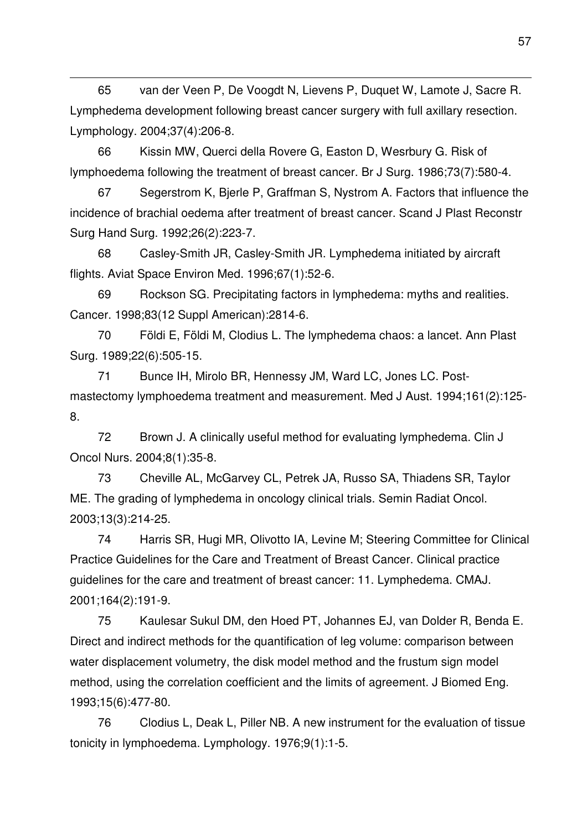65 van der Veen P, De Voogdt N, Lievens P, Duquet W, Lamote J, Sacre R. Lymphedema development following breast cancer surgery with full axillary resection. Lymphology. 2004;37(4):206-8.

l

66 Kissin MW, Querci della Rovere G, Easton D, Wesrbury G. Risk of lymphoedema following the treatment of breast cancer. Br J Surg. 1986;73(7):580-4.

67 Segerstrom K, Bjerle P, Graffman S, Nystrom A. Factors that influence the incidence of brachial oedema after treatment of breast cancer. Scand J Plast Reconstr Surg Hand Surg. 1992;26(2):223-7.

68 Casley-Smith JR, Casley-Smith JR. Lymphedema initiated by aircraft flights. Aviat Space Environ Med. 1996;67(1):52-6.

69 Rockson SG. Precipitating factors in lymphedema: myths and realities. Cancer. 1998;83(12 Suppl American):2814-6.

70 Földi E, Földi M, Clodius L. The lymphedema chaos: a lancet. Ann Plast Surg. 1989;22(6):505-15.

71 Bunce IH, Mirolo BR, Hennessy JM, Ward LC, Jones LC. Postmastectomy lymphoedema treatment and measurement. Med J Aust. 1994;161(2):125- 8.

72 Brown J. A clinically useful method for evaluating lymphedema. Clin J Oncol Nurs. 2004;8(1):35-8.

73 Cheville AL, McGarvey CL, Petrek JA, Russo SA, Thiadens SR, Taylor ME. The grading of lymphedema in oncology clinical trials. Semin Radiat Oncol. 2003;13(3):214-25.

74 Harris SR, Hugi MR, Olivotto IA, Levine M; Steering Committee for Clinical Practice Guidelines for the Care and Treatment of Breast Cancer. Clinical practice guidelines for the care and treatment of breast cancer: 11. Lymphedema. CMAJ. 2001;164(2):191-9.

75 Kaulesar Sukul DM, den Hoed PT, Johannes EJ, van Dolder R, Benda E. Direct and indirect methods for the quantification of leg volume: comparison between water displacement volumetry, the disk model method and the frustum sign model method, using the correlation coefficient and the limits of agreement. J Biomed Eng. 1993;15(6):477-80.

76 Clodius L, Deak L, Piller NB. A new instrument for the evaluation of tissue tonicity in lymphoedema. Lymphology. 1976;9(1):1-5.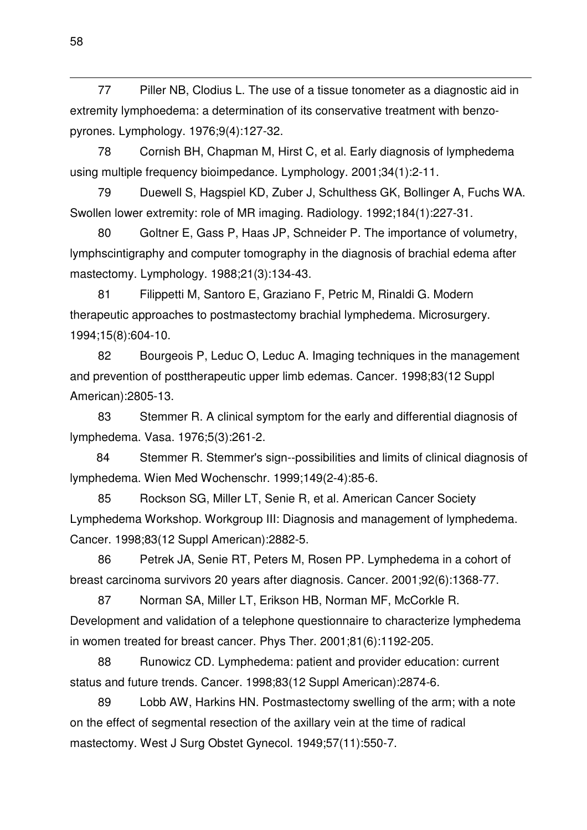77 Piller NB, Clodius L. The use of a tissue tonometer as a diagnostic aid in extremity lymphoedema: a determination of its conservative treatment with benzopyrones. Lymphology. 1976;9(4):127-32.

78 Cornish BH, Chapman M, Hirst C, et al. Early diagnosis of lymphedema using multiple frequency bioimpedance. Lymphology. 2001;34(1):2-11.

79 Duewell S, Hagspiel KD, Zuber J, Schulthess GK, Bollinger A, Fuchs WA. Swollen lower extremity: role of MR imaging. Radiology. 1992;184(1):227-31.

80 Goltner E, Gass P, Haas JP, Schneider P. The importance of volumetry, lymphscintigraphy and computer tomography in the diagnosis of brachial edema after mastectomy. Lymphology. 1988;21(3):134-43.

81 Filippetti M, Santoro E, Graziano F, Petric M, Rinaldi G. Modern therapeutic approaches to postmastectomy brachial lymphedema. Microsurgery. 1994;15(8):604-10.

82 Bourgeois P, Leduc O, Leduc A. Imaging techniques in the management and prevention of posttherapeutic upper limb edemas. Cancer. 1998;83(12 Suppl American):2805-13.

83 Stemmer R. A clinical symptom for the early and differential diagnosis of lymphedema. Vasa. 1976;5(3):261-2.

84 Stemmer R. Stemmer's sign--possibilities and limits of clinical diagnosis of lymphedema. Wien Med Wochenschr. 1999;149(2-4):85-6.

85 Rockson SG, Miller LT, Senie R, et al. American Cancer Society Lymphedema Workshop. Workgroup III: Diagnosis and management of lymphedema. Cancer. 1998;83(12 Suppl American):2882-5.

86 Petrek JA, Senie RT, Peters M, Rosen PP. Lymphedema in a cohort of breast carcinoma survivors 20 years after diagnosis. Cancer. 2001;92(6):1368-77.

87 Norman SA, Miller LT, Erikson HB, Norman MF, McCorkle R. Development and validation of a telephone questionnaire to characterize lymphedema in women treated for breast cancer. Phys Ther. 2001;81(6):1192-205.

88 Runowicz CD. Lymphedema: patient and provider education: current status and future trends. Cancer. 1998;83(12 Suppl American):2874-6.

89 Lobb AW, Harkins HN. Postmastectomy swelling of the arm; with a note on the effect of segmental resection of the axillary vein at the time of radical mastectomy. West J Surg Obstet Gynecol. 1949;57(11):550-7.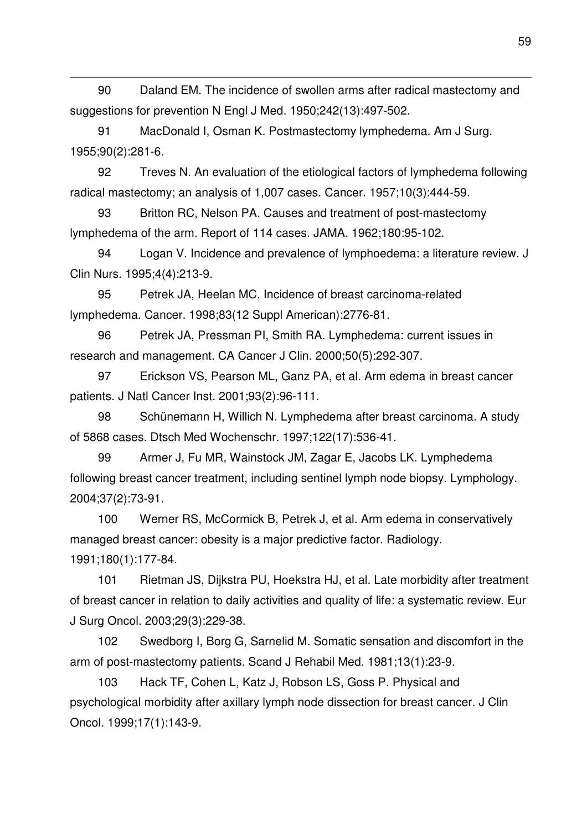90 Daland EM. The incidence of swollen arms after radical mastectomy and suggestions for prevention N Engl J Med. 1950;242(13):497-502.

91 MacDonald I, Osman K. Postmastectomy lymphedema. Am J Surg. 1955;90(2):281-6.

l

92 Treves N. An evaluation of the etiological factors of lymphedema following radical mastectomy; an analysis of 1,007 cases. Cancer. 1957;10(3):444-59.

93 Britton RC, Nelson PA. Causes and treatment of post-mastectomy lymphedema of the arm. Report of 114 cases. JAMA. 1962;180:95-102.

94 Logan V. Incidence and prevalence of lymphoedema: a literature review. J Clin Nurs. 1995;4(4):213-9.

95 Petrek JA, Heelan MC. Incidence of breast carcinoma-related lymphedema. Cancer. 1998;83(12 Suppl American):2776-81.

96 Petrek JA, Pressman PI, Smith RA. Lymphedema: current issues in research and management. CA Cancer J Clin. 2000;50(5):292-307.

97 Erickson VS, Pearson ML, Ganz PA, et al. Arm edema in breast cancer patients. J Natl Cancer Inst. 2001;93(2):96-111.

98 Schünemann H, Willich N. Lymphedema after breast carcinoma. A study of 5868 cases. Dtsch Med Wochenschr. 1997;122(17):536-41.

99 Armer J, Fu MR, Wainstock JM, Zagar E, Jacobs LK. Lymphedema following breast cancer treatment, including sentinel lymph node biopsy. Lymphology. 2004;37(2):73-91.

100 Werner RS, McCormick B, Petrek J, et al. Arm edema in conservatively managed breast cancer: obesity is a major predictive factor. Radiology. 1991;180(1):177-84.

101 Rietman JS, Dijkstra PU, Hoekstra HJ, et al. Late morbidity after treatment of breast cancer in relation to daily activities and quality of life: a systematic review. Eur J Surg Oncol. 2003;29(3):229-38.

102 Swedborg I, Borg G, Sarnelid M. Somatic sensation and discomfort in the arm of post-mastectomy patients. Scand J Rehabil Med. 1981;13(1):23-9.

103 Hack TF, Cohen L, Katz J, Robson LS, Goss P. Physical and psychological morbidity after axillary lymph node dissection for breast cancer. J Clin Oncol. 1999;17(1):143-9.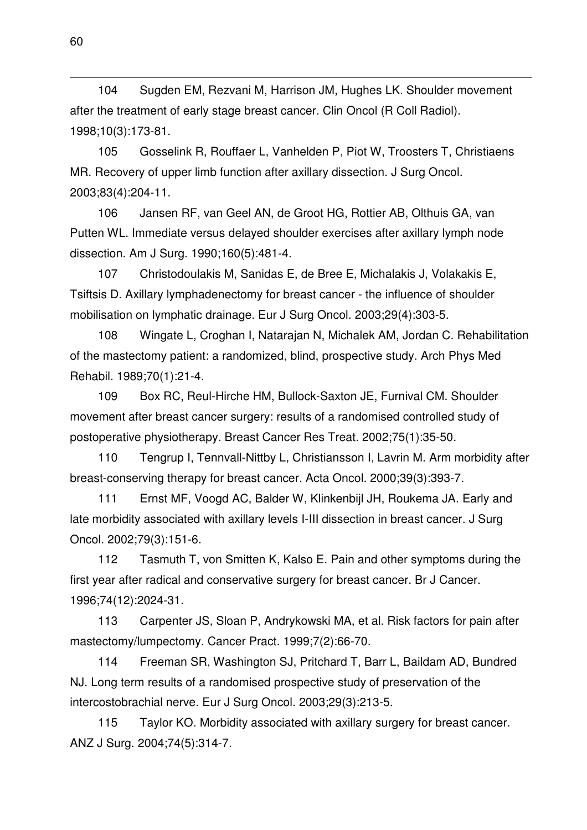104 Sugden EM, Rezvani M, Harrison JM, Hughes LK. Shoulder movement after the treatment of early stage breast cancer. Clin Oncol (R Coll Radiol). 1998;10(3):173-81.

105 Gosselink R, Rouffaer L, Vanhelden P, Piot W, Troosters T, Christiaens MR. Recovery of upper limb function after axillary dissection. J Surg Oncol. 2003;83(4):204-11.

106 Jansen RF, van Geel AN, de Groot HG, Rottier AB, Olthuis GA, van Putten WL. Immediate versus delayed shoulder exercises after axillary lymph node dissection. Am J Surg. 1990;160(5):481-4.

107 Christodoulakis M, Sanidas E, de Bree E, Michalakis J, Volakakis E, Tsiftsis D. Axillary lymphadenectomy for breast cancer - the influence of shoulder mobilisation on lymphatic drainage. Eur J Surg Oncol. 2003;29(4):303-5.

108 Wingate L, Croghan I, Natarajan N, Michalek AM, Jordan C. Rehabilitation of the mastectomy patient: a randomized, blind, prospective study. Arch Phys Med Rehabil. 1989;70(1):21-4.

109 Box RC, Reul-Hirche HM, Bullock-Saxton JE, Furnival CM. Shoulder movement after breast cancer surgery: results of a randomised controlled study of postoperative physiotherapy. Breast Cancer Res Treat. 2002;75(1):35-50.

110 Tengrup I, Tennvall-Nittby L, Christiansson I, Lavrin M. Arm morbidity after breast-conserving therapy for breast cancer. Acta Oncol. 2000;39(3):393-7.

111 Ernst MF, Voogd AC, Balder W, Klinkenbijl JH, Roukema JA. Early and late morbidity associated with axillary levels I-III dissection in breast cancer. J Surg Oncol. 2002;79(3):151-6.

112 Tasmuth T, von Smitten K, Kalso E. Pain and other symptoms during the first year after radical and conservative surgery for breast cancer. Br J Cancer. 1996;74(12):2024-31.

113 Carpenter JS, Sloan P, Andrykowski MA, et al. Risk factors for pain after mastectomy/lumpectomy. Cancer Pract. 1999;7(2):66-70.

114 Freeman SR, Washington SJ, Pritchard T, Barr L, Baildam AD, Bundred NJ. Long term results of a randomised prospective study of preservation of the intercostobrachial nerve. Eur J Surg Oncol. 2003;29(3):213-5.

115 Taylor KO. Morbidity associated with axillary surgery for breast cancer. ANZ J Surg. 2004;74(5):314-7.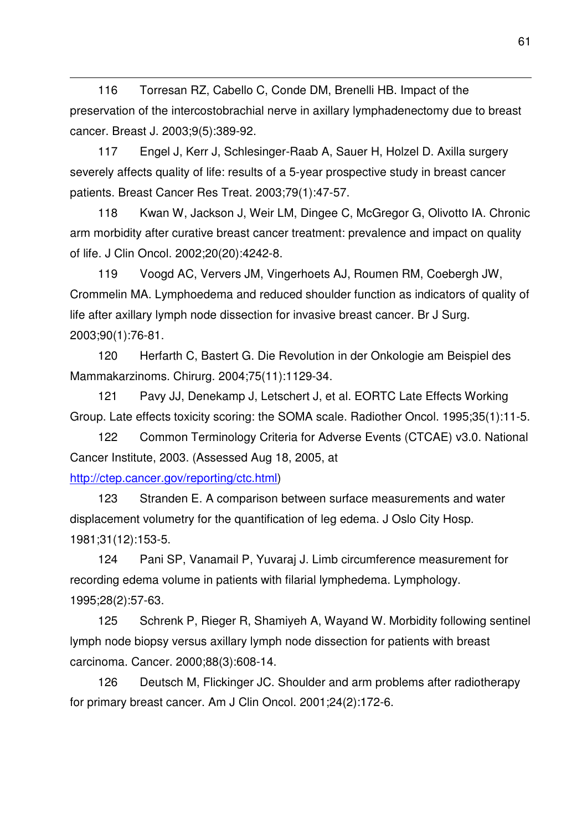116 Torresan RZ, Cabello C, Conde DM, Brenelli HB. Impact of the preservation of the intercostobrachial nerve in axillary lymphadenectomy due to breast cancer. Breast J. 2003;9(5):389-92.

117 Engel J, Kerr J, Schlesinger-Raab A, Sauer H, Holzel D. Axilla surgery severely affects quality of life: results of a 5-year prospective study in breast cancer patients. Breast Cancer Res Treat. 2003;79(1):47-57.

118 Kwan W, Jackson J, Weir LM, Dingee C, McGregor G, Olivotto IA. Chronic arm morbidity after curative breast cancer treatment: prevalence and impact on quality of life. J Clin Oncol. 2002;20(20):4242-8.

119 Voogd AC, Ververs JM, Vingerhoets AJ, Roumen RM, Coebergh JW, Crommelin MA. Lymphoedema and reduced shoulder function as indicators of quality of life after axillary lymph node dissection for invasive breast cancer. Br J Surg. 2003;90(1):76-81.

120 Herfarth C, Bastert G. Die Revolution in der Onkologie am Beispiel des Mammakarzinoms. Chirurg. 2004;75(11):1129-34.

121 Pavy JJ, Denekamp J, Letschert J, et al. EORTC Late Effects Working Group. Late effects toxicity scoring: the SOMA scale. Radiother Oncol. 1995;35(1):11-5.

122 Common Terminology Criteria for Adverse Events (CTCAE) v3.0. National Cancer Institute, 2003. (Assessed Aug 18, 2005, at

## http://ctep.cancer.gov/reporting/ctc.html)

l

123 Stranden E. A comparison between surface measurements and water displacement volumetry for the quantification of leg edema. J Oslo City Hosp. 1981;31(12):153-5.

124 Pani SP, Vanamail P, Yuvaraj J. Limb circumference measurement for recording edema volume in patients with filarial lymphedema. Lymphology. 1995;28(2):57-63.

125 Schrenk P, Rieger R, Shamiyeh A, Wayand W. Morbidity following sentinel lymph node biopsy versus axillary lymph node dissection for patients with breast carcinoma. Cancer. 2000;88(3):608-14.

126 Deutsch M, Flickinger JC. Shoulder and arm problems after radiotherapy for primary breast cancer. Am J Clin Oncol. 2001;24(2):172-6.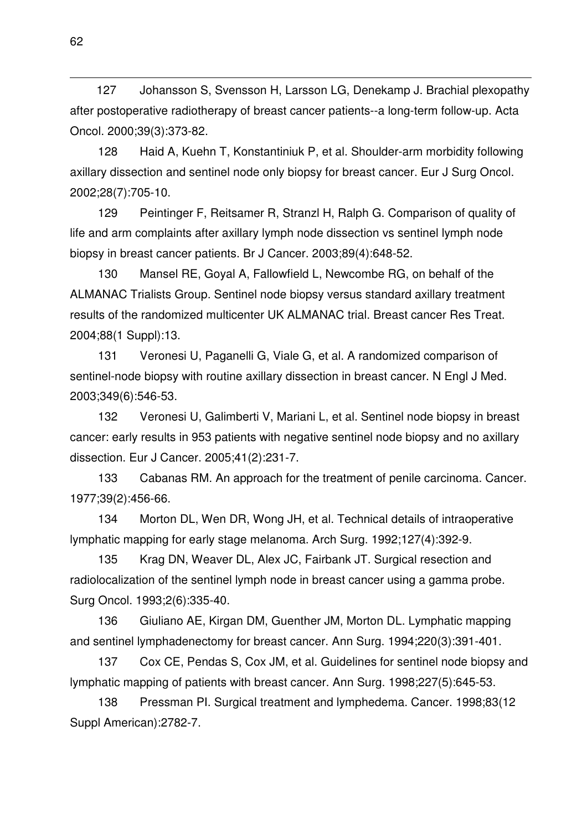127 Johansson S, Svensson H, Larsson LG, Denekamp J. Brachial plexopathy after postoperative radiotherapy of breast cancer patients--a long-term follow-up. Acta Oncol. 2000;39(3):373-82.

128 Haid A, Kuehn T, Konstantiniuk P, et al. Shoulder-arm morbidity following axillary dissection and sentinel node only biopsy for breast cancer. Eur J Surg Oncol. 2002;28(7):705-10.

129 Peintinger F, Reitsamer R, Stranzl H, Ralph G. Comparison of quality of life and arm complaints after axillary lymph node dissection vs sentinel lymph node biopsy in breast cancer patients. Br J Cancer. 2003;89(4):648-52.

130 Mansel RE, Goyal A, Fallowfield L, Newcombe RG, on behalf of the ALMANAC Trialists Group. Sentinel node biopsy versus standard axillary treatment results of the randomized multicenter UK ALMANAC trial. Breast cancer Res Treat. 2004;88(1 Suppl):13.

131 Veronesi U, Paganelli G, Viale G, et al. A randomized comparison of sentinel-node biopsy with routine axillary dissection in breast cancer. N Engl J Med. 2003;349(6):546-53.

132 Veronesi U, Galimberti V, Mariani L, et al. Sentinel node biopsy in breast cancer: early results in 953 patients with negative sentinel node biopsy and no axillary dissection. Eur J Cancer. 2005;41(2):231-7.

133 Cabanas RM. An approach for the treatment of penile carcinoma. Cancer. 1977;39(2):456-66.

134 Morton DL, Wen DR, Wong JH, et al. Technical details of intraoperative lymphatic mapping for early stage melanoma. Arch Surg. 1992;127(4):392-9.

135 Krag DN, Weaver DL, Alex JC, Fairbank JT. Surgical resection and radiolocalization of the sentinel lymph node in breast cancer using a gamma probe. Surg Oncol. 1993;2(6):335-40.

136 Giuliano AE, Kirgan DM, Guenther JM, Morton DL. Lymphatic mapping and sentinel lymphadenectomy for breast cancer. Ann Surg. 1994;220(3):391-401.

137 Cox CE, Pendas S, Cox JM, et al. Guidelines for sentinel node biopsy and lymphatic mapping of patients with breast cancer. Ann Surg. 1998;227(5):645-53.

138 Pressman PI. Surgical treatment and lymphedema. Cancer. 1998;83(12 Suppl American):2782-7.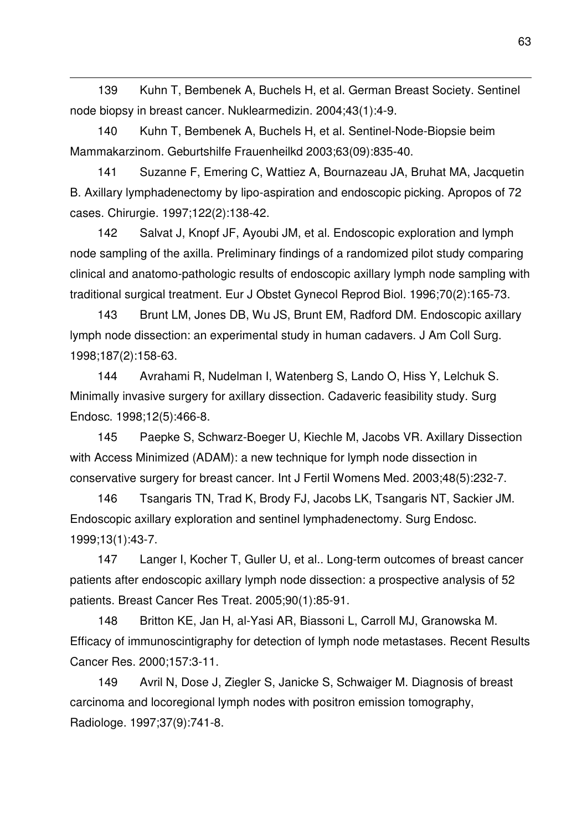139 Kuhn T, Bembenek A, Buchels H, et al. German Breast Society. Sentinel node biopsy in breast cancer. Nuklearmedizin. 2004;43(1):4-9.

140 Kuhn T, Bembenek A, Buchels H, et al. Sentinel-Node-Biopsie beim Mammakarzinom. Geburtshilfe Frauenheilkd 2003;63(09):835-40.

l

141 Suzanne F, Emering C, Wattiez A, Bournazeau JA, Bruhat MA, Jacquetin B. Axillary lymphadenectomy by lipo-aspiration and endoscopic picking. Apropos of 72 cases. Chirurgie. 1997;122(2):138-42.

142 Salvat J, Knopf JF, Ayoubi JM, et al. Endoscopic exploration and lymph node sampling of the axilla. Preliminary findings of a randomized pilot study comparing clinical and anatomo-pathologic results of endoscopic axillary lymph node sampling with traditional surgical treatment. Eur J Obstet Gynecol Reprod Biol. 1996;70(2):165-73.

143 Brunt LM, Jones DB, Wu JS, Brunt EM, Radford DM. Endoscopic axillary lymph node dissection: an experimental study in human cadavers. J Am Coll Surg. 1998;187(2):158-63.

144 Avrahami R, Nudelman I, Watenberg S, Lando O, Hiss Y, Lelchuk S. Minimally invasive surgery for axillary dissection. Cadaveric feasibility study. Surg Endosc. 1998;12(5):466-8.

145 Paepke S, Schwarz-Boeger U, Kiechle M, Jacobs VR. Axillary Dissection with Access Minimized (ADAM): a new technique for lymph node dissection in conservative surgery for breast cancer. Int J Fertil Womens Med. 2003;48(5):232-7.

146 Tsangaris TN, Trad K, Brody FJ, Jacobs LK, Tsangaris NT, Sackier JM. Endoscopic axillary exploration and sentinel lymphadenectomy. Surg Endosc. 1999;13(1):43-7.

147 Langer I, Kocher T, Guller U, et al.. Long-term outcomes of breast cancer patients after endoscopic axillary lymph node dissection: a prospective analysis of 52 patients. Breast Cancer Res Treat. 2005;90(1):85-91.

148 Britton KE, Jan H, al-Yasi AR, Biassoni L, Carroll MJ, Granowska M. Efficacy of immunoscintigraphy for detection of lymph node metastases. Recent Results Cancer Res. 2000;157:3-11.

149 Avril N, Dose J, Ziegler S, Janicke S, Schwaiger M. Diagnosis of breast carcinoma and locoregional lymph nodes with positron emission tomography, Radiologe. 1997;37(9):741-8.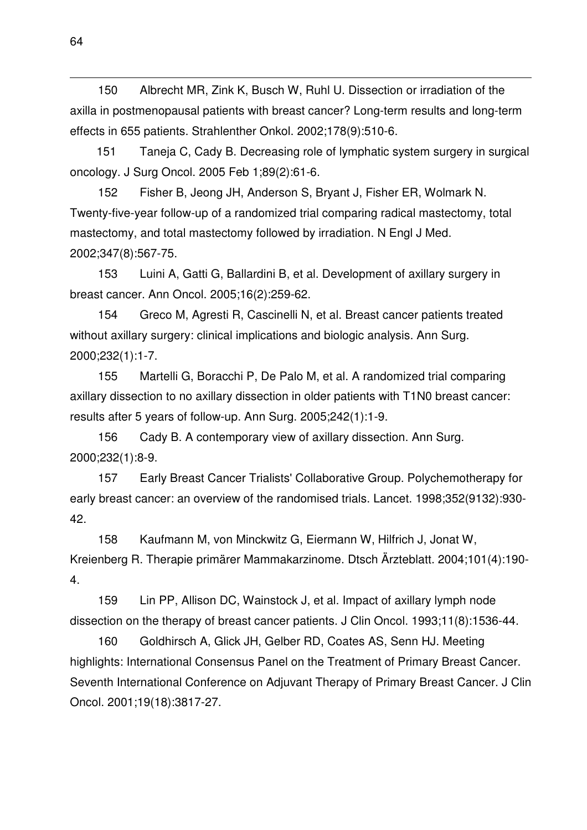150 Albrecht MR, Zink K, Busch W, Ruhl U. Dissection or irradiation of the axilla in postmenopausal patients with breast cancer? Long-term results and long-term effects in 655 patients. Strahlenther Onkol. 2002;178(9):510-6.

151 Taneja C, Cady B. Decreasing role of lymphatic system surgery in surgical oncology. J Surg Oncol. 2005 Feb 1;89(2):61-6.

152 Fisher B, Jeong JH, Anderson S, Bryant J, Fisher ER, Wolmark N. Twenty-five-year follow-up of a randomized trial comparing radical mastectomy, total mastectomy, and total mastectomy followed by irradiation. N Engl J Med. 2002;347(8):567-75.

153 Luini A, Gatti G, Ballardini B, et al. Development of axillary surgery in breast cancer. Ann Oncol. 2005;16(2):259-62.

154 Greco M, Agresti R, Cascinelli N, et al. Breast cancer patients treated without axillary surgery: clinical implications and biologic analysis. Ann Surg. 2000;232(1):1-7.

155 Martelli G, Boracchi P, De Palo M, et al. A randomized trial comparing axillary dissection to no axillary dissection in older patients with T1N0 breast cancer: results after 5 years of follow-up. Ann Surg. 2005;242(1):1-9.

156 Cady B. A contemporary view of axillary dissection. Ann Surg. 2000;232(1):8-9.

157 Early Breast Cancer Trialists' Collaborative Group. Polychemotherapy for early breast cancer: an overview of the randomised trials. Lancet. 1998;352(9132):930- 42.

158 Kaufmann M, von Minckwitz G, Eiermann W, Hilfrich J, Jonat W, Kreienberg R. Therapie primärer Mammakarzinome. Dtsch Ärzteblatt. 2004;101(4):190- 4.

159 Lin PP, Allison DC, Wainstock J, et al. Impact of axillary lymph node dissection on the therapy of breast cancer patients. J Clin Oncol. 1993;11(8):1536-44.

160 Goldhirsch A, Glick JH, Gelber RD, Coates AS, Senn HJ. Meeting highlights: International Consensus Panel on the Treatment of Primary Breast Cancer. Seventh International Conference on Adjuvant Therapy of Primary Breast Cancer. J Clin Oncol. 2001;19(18):3817-27.